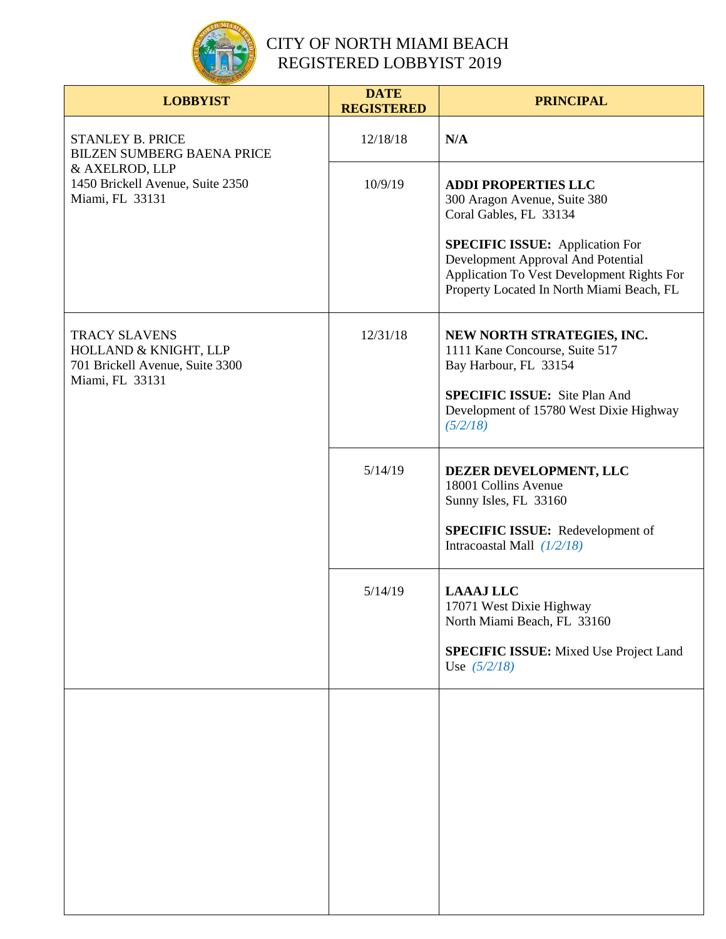

| <b>LOBBYIST</b>                                                                                                                | <b>DATE</b><br><b>REGISTERED</b> | <b>PRINCIPAL</b>                                                                                                                                                                                                                                                |
|--------------------------------------------------------------------------------------------------------------------------------|----------------------------------|-----------------------------------------------------------------------------------------------------------------------------------------------------------------------------------------------------------------------------------------------------------------|
| <b>STANLEY B. PRICE</b><br>BILZEN SUMBERG BAENA PRICE<br>& AXELROD, LLP<br>1450 Brickell Avenue, Suite 2350<br>Miami, FL 33131 | 12/18/18                         | N/A                                                                                                                                                                                                                                                             |
|                                                                                                                                | 10/9/19                          | <b>ADDI PROPERTIES LLC</b><br>300 Aragon Avenue, Suite 380<br>Coral Gables, FL 33134<br><b>SPECIFIC ISSUE:</b> Application For<br>Development Approval And Potential<br>Application To Vest Development Rights For<br>Property Located In North Miami Beach, FL |
| <b>TRACY SLAVENS</b><br>HOLLAND & KNIGHT, LLP<br>701 Brickell Avenue, Suite 3300<br>Miami, FL 33131                            | 12/31/18                         | NEW NORTH STRATEGIES, INC.<br>1111 Kane Concourse, Suite 517<br>Bay Harbour, FL 33154<br><b>SPECIFIC ISSUE:</b> Site Plan And<br>Development of 15780 West Dixie Highway<br>(5/2/18)                                                                            |
|                                                                                                                                | 5/14/19                          | DEZER DEVELOPMENT, LLC<br>18001 Collins Avenue<br>Sunny Isles, FL 33160<br><b>SPECIFIC ISSUE:</b> Redevelopment of<br>Intracoastal Mall $(1/2/18)$                                                                                                              |
|                                                                                                                                | 5/14/19                          | <b>LAAAJ LLC</b><br>17071 West Dixie Highway<br>North Miami Beach, FL 33160<br><b>SPECIFIC ISSUE:</b> Mixed Use Project Land<br>Use $(5/2/18)$                                                                                                                  |
|                                                                                                                                |                                  |                                                                                                                                                                                                                                                                 |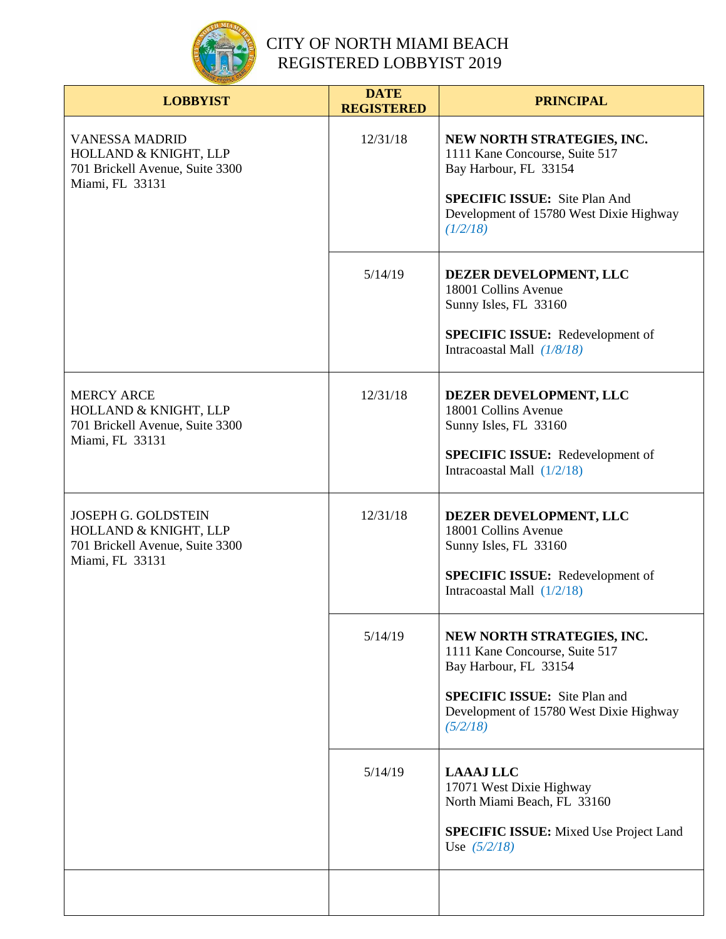

| <b>LOBBYIST</b>                                                                                           | <b>DATE</b><br><b>REGISTERED</b> | <b>PRINCIPAL</b>                                                                                                                                                                     |
|-----------------------------------------------------------------------------------------------------------|----------------------------------|--------------------------------------------------------------------------------------------------------------------------------------------------------------------------------------|
| <b>VANESSA MADRID</b><br>HOLLAND & KNIGHT, LLP<br>701 Brickell Avenue, Suite 3300<br>Miami, FL 33131      | 12/31/18                         | NEW NORTH STRATEGIES, INC.<br>1111 Kane Concourse, Suite 517<br>Bay Harbour, FL 33154<br><b>SPECIFIC ISSUE:</b> Site Plan And<br>Development of 15780 West Dixie Highway<br>(1/2/18) |
|                                                                                                           | 5/14/19                          | DEZER DEVELOPMENT, LLC<br>18001 Collins Avenue<br>Sunny Isles, FL 33160<br><b>SPECIFIC ISSUE:</b> Redevelopment of<br>Intracoastal Mall $(1/8/18)$                                   |
| <b>MERCY ARCE</b><br>HOLLAND & KNIGHT, LLP<br>701 Brickell Avenue, Suite 3300<br>Miami, FL 33131          | 12/31/18                         | DEZER DEVELOPMENT, LLC<br>18001 Collins Avenue<br>Sunny Isles, FL 33160<br><b>SPECIFIC ISSUE:</b> Redevelopment of<br>Intracoastal Mall $(1/2/18)$                                   |
| <b>JOSEPH G. GOLDSTEIN</b><br>HOLLAND & KNIGHT, LLP<br>701 Brickell Avenue, Suite 3300<br>Miami, FL 33131 | 12/31/18                         | DEZER DEVELOPMENT, LLC<br>18001 Collins Avenue<br>Sunny Isles, FL 33160<br><b>SPECIFIC ISSUE:</b> Redevelopment of<br>Intracoastal Mall $(1/2/18)$                                   |
|                                                                                                           | 5/14/19                          | NEW NORTH STRATEGIES, INC.<br>1111 Kane Concourse, Suite 517<br>Bay Harbour, FL 33154<br><b>SPECIFIC ISSUE:</b> Site Plan and<br>Development of 15780 West Dixie Highway<br>(5/2/18) |
|                                                                                                           | 5/14/19                          | <b>LAAAJ LLC</b><br>17071 West Dixie Highway<br>North Miami Beach, FL 33160<br><b>SPECIFIC ISSUE:</b> Mixed Use Project Land<br>Use $(5/2/18)$                                       |
|                                                                                                           |                                  |                                                                                                                                                                                      |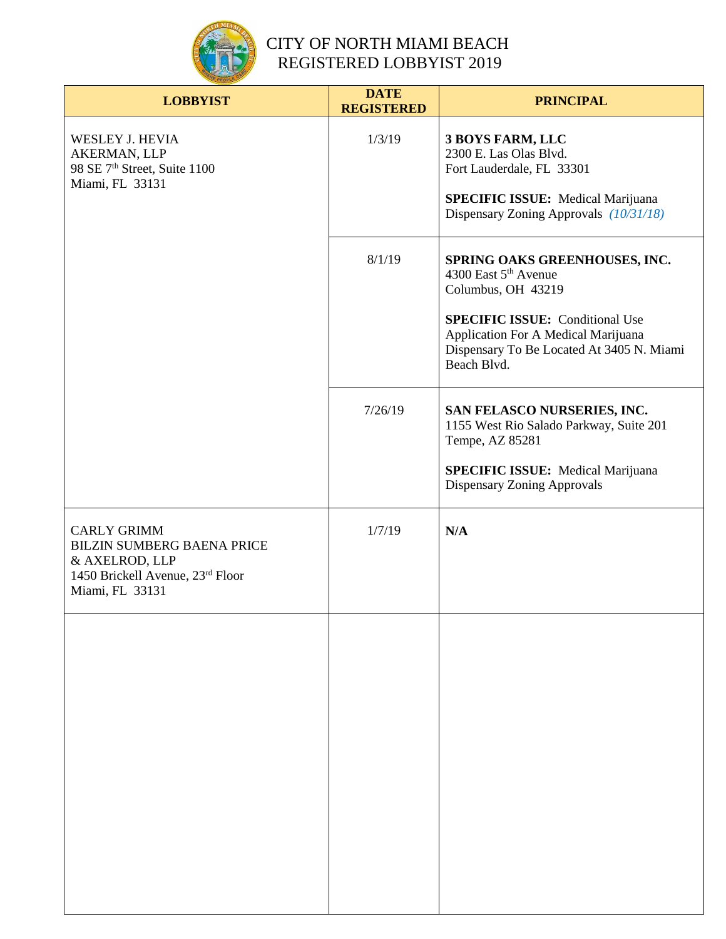

| <b>LOBBYIST</b>                                                                                                                  | <b>DATE</b><br><b>REGISTERED</b> | <b>PRINCIPAL</b>                                                                                                                                                                                                                     |
|----------------------------------------------------------------------------------------------------------------------------------|----------------------------------|--------------------------------------------------------------------------------------------------------------------------------------------------------------------------------------------------------------------------------------|
| <b>WESLEY J. HEVIA</b><br>AKERMAN, LLP<br>98 SE 7 <sup>th</sup> Street, Suite 1100<br>Miami, FL 33131                            | 1/3/19                           | 3 BOYS FARM, LLC<br>2300 E. Las Olas Blvd.<br>Fort Lauderdale, FL 33301<br><b>SPECIFIC ISSUE:</b> Medical Marijuana<br>Dispensary Zoning Approvals (10/31/18)                                                                        |
|                                                                                                                                  | 8/1/19                           | SPRING OAKS GREENHOUSES, INC.<br>4300 East 5 <sup>th</sup> Avenue<br>Columbus, OH 43219<br><b>SPECIFIC ISSUE:</b> Conditional Use<br>Application For A Medical Marijuana<br>Dispensary To Be Located At 3405 N. Miami<br>Beach Blvd. |
|                                                                                                                                  | 7/26/19                          | SAN FELASCO NURSERIES, INC.<br>1155 West Rio Salado Parkway, Suite 201<br>Tempe, AZ 85281<br><b>SPECIFIC ISSUE:</b> Medical Marijuana<br>Dispensary Zoning Approvals                                                                 |
| <b>CARLY GRIMM</b><br><b>BILZIN SUMBERG BAENA PRICE</b><br>& AXELROD, LLP<br>1450 Brickell Avenue, 23rd Floor<br>Miami, FL 33131 | 1/7/19                           | N/A                                                                                                                                                                                                                                  |
|                                                                                                                                  |                                  |                                                                                                                                                                                                                                      |
|                                                                                                                                  |                                  |                                                                                                                                                                                                                                      |
|                                                                                                                                  |                                  |                                                                                                                                                                                                                                      |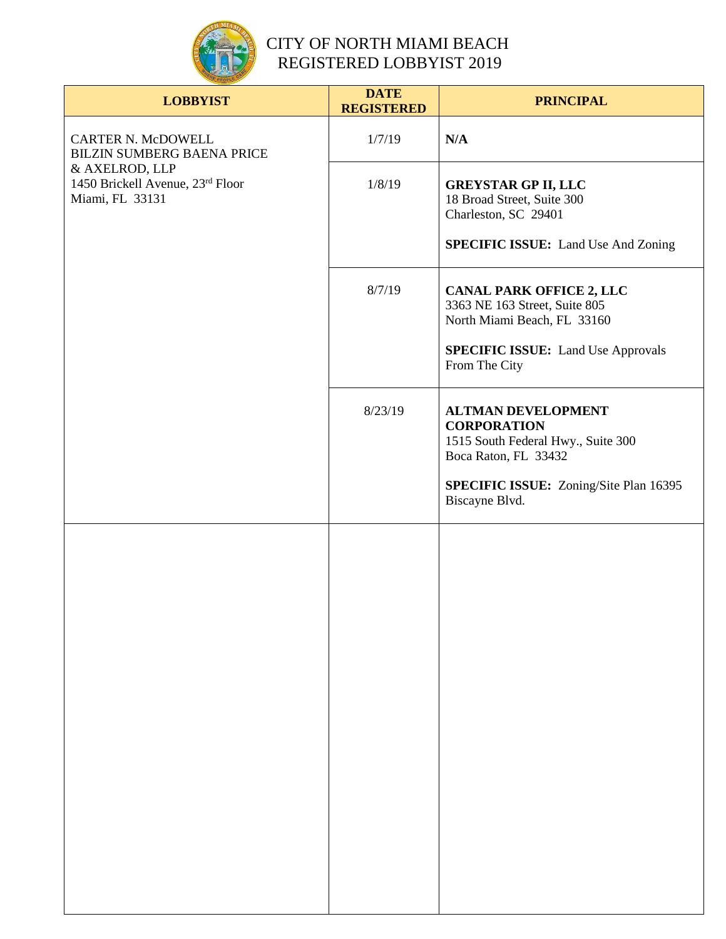

| <b>LOBBYIST</b>                                                                                                                  | <b>DATE</b><br><b>REGISTERED</b> | <b>PRINCIPAL</b>                                                                                              |
|----------------------------------------------------------------------------------------------------------------------------------|----------------------------------|---------------------------------------------------------------------------------------------------------------|
| CARTER N. McDOWELL<br><b>BILZIN SUMBERG BAENA PRICE</b><br>& AXELROD, LLP<br>1450 Brickell Avenue, 23rd Floor<br>Miami, FL 33131 | 1/7/19                           | N/A                                                                                                           |
|                                                                                                                                  | 1/8/19                           | <b>GREYSTAR GP II, LLC</b><br>18 Broad Street, Suite 300<br>Charleston, SC 29401                              |
|                                                                                                                                  |                                  | <b>SPECIFIC ISSUE:</b> Land Use And Zoning                                                                    |
|                                                                                                                                  | 8/7/19                           | <b>CANAL PARK OFFICE 2, LLC</b><br>3363 NE 163 Street, Suite 805<br>North Miami Beach, FL 33160               |
|                                                                                                                                  |                                  | <b>SPECIFIC ISSUE:</b> Land Use Approvals<br>From The City                                                    |
|                                                                                                                                  | 8/23/19                          | <b>ALTMAN DEVELOPMENT</b><br><b>CORPORATION</b><br>1515 South Federal Hwy., Suite 300<br>Boca Raton, FL 33432 |
|                                                                                                                                  |                                  | <b>SPECIFIC ISSUE:</b> Zoning/Site Plan 16395<br>Biscayne Blvd.                                               |
|                                                                                                                                  |                                  |                                                                                                               |
|                                                                                                                                  |                                  |                                                                                                               |
|                                                                                                                                  |                                  |                                                                                                               |
|                                                                                                                                  |                                  |                                                                                                               |
|                                                                                                                                  |                                  |                                                                                                               |
|                                                                                                                                  |                                  |                                                                                                               |
|                                                                                                                                  |                                  |                                                                                                               |
|                                                                                                                                  |                                  |                                                                                                               |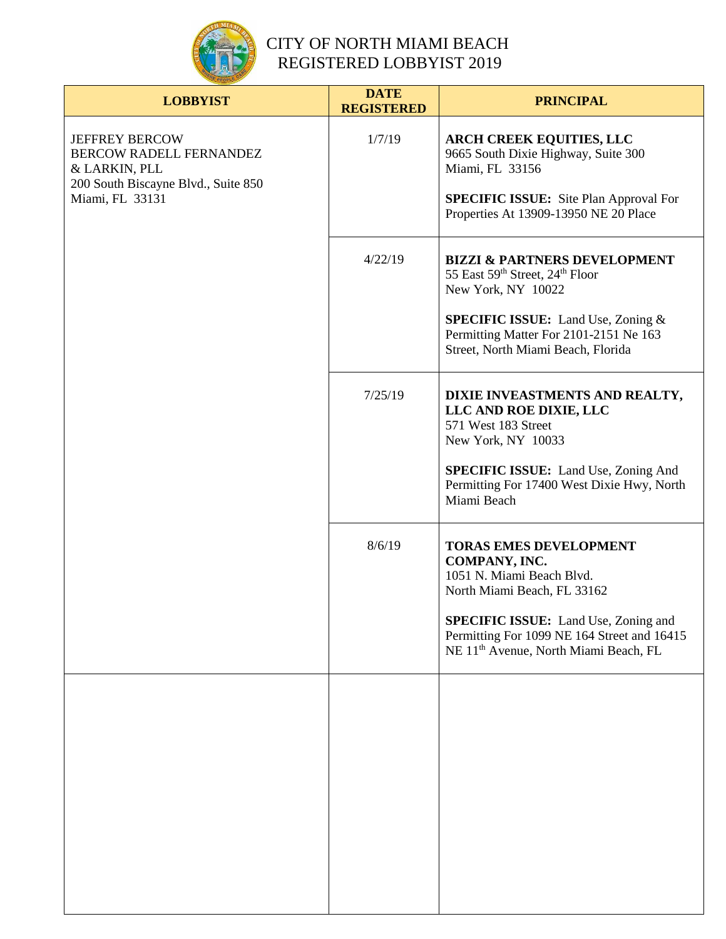

| <b>LOBBYIST</b>                                                                                                             | <b>DATE</b><br><b>REGISTERED</b> | <b>PRINCIPAL</b>                                                                                                                                                                                                                                              |
|-----------------------------------------------------------------------------------------------------------------------------|----------------------------------|---------------------------------------------------------------------------------------------------------------------------------------------------------------------------------------------------------------------------------------------------------------|
| <b>JEFFREY BERCOW</b><br>BERCOW RADELL FERNANDEZ<br>& LARKIN, PLL<br>200 South Biscayne Blvd., Suite 850<br>Miami, FL 33131 | 1/7/19                           | <b>ARCH CREEK EQUITIES, LLC</b><br>9665 South Dixie Highway, Suite 300<br>Miami, FL 33156<br><b>SPECIFIC ISSUE:</b> Site Plan Approval For<br>Properties At 13909-13950 NE 20 Place                                                                           |
|                                                                                                                             | 4/22/19                          | <b>BIZZI &amp; PARTNERS DEVELOPMENT</b><br>55 East 59th Street, 24th Floor<br>New York, NY 10022<br><b>SPECIFIC ISSUE:</b> Land Use, Zoning &<br>Permitting Matter For 2101-2151 Ne 163<br>Street, North Miami Beach, Florida                                 |
|                                                                                                                             | 7/25/19                          | DIXIE INVEASTMENTS AND REALTY,<br>LLC AND ROE DIXIE, LLC<br>571 West 183 Street<br>New York, NY 10033<br><b>SPECIFIC ISSUE:</b> Land Use, Zoning And<br>Permitting For 17400 West Dixie Hwy, North<br>Miami Beach                                             |
|                                                                                                                             | 8/6/19                           | <b>TORAS EMES DEVELOPMENT</b><br>COMPANY, INC.<br>1051 N. Miami Beach Blvd.<br>North Miami Beach, FL 33162<br><b>SPECIFIC ISSUE:</b> Land Use, Zoning and<br>Permitting For 1099 NE 164 Street and 16415<br>NE 11 <sup>th</sup> Avenue, North Miami Beach, FL |
|                                                                                                                             |                                  |                                                                                                                                                                                                                                                               |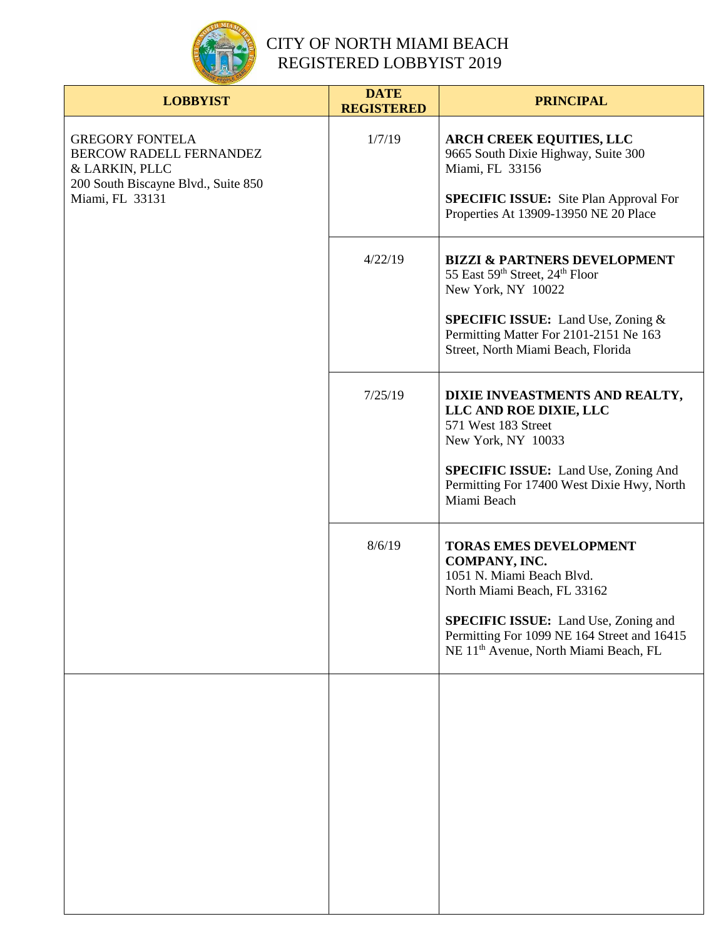

| <b>LOBBYIST</b>                                                                                                                      | <b>DATE</b><br><b>REGISTERED</b> | <b>PRINCIPAL</b>                                                                                                                                                                                                                                              |
|--------------------------------------------------------------------------------------------------------------------------------------|----------------------------------|---------------------------------------------------------------------------------------------------------------------------------------------------------------------------------------------------------------------------------------------------------------|
| <b>GREGORY FONTELA</b><br><b>BERCOW RADELL FERNANDEZ</b><br>& LARKIN, PLLC<br>200 South Biscayne Blvd., Suite 850<br>Miami, FL 33131 | 1/7/19                           | <b>ARCH CREEK EQUITIES, LLC</b><br>9665 South Dixie Highway, Suite 300<br>Miami, FL 33156<br><b>SPECIFIC ISSUE:</b> Site Plan Approval For<br>Properties At 13909-13950 NE 20 Place                                                                           |
|                                                                                                                                      | 4/22/19                          | <b>BIZZI &amp; PARTNERS DEVELOPMENT</b><br>55 East 59th Street, 24th Floor<br>New York, NY 10022<br><b>SPECIFIC ISSUE:</b> Land Use, Zoning &<br>Permitting Matter For 2101-2151 Ne 163<br>Street, North Miami Beach, Florida                                 |
|                                                                                                                                      | 7/25/19                          | DIXIE INVEASTMENTS AND REALTY,<br>LLC AND ROE DIXIE, LLC<br>571 West 183 Street<br>New York, NY 10033<br><b>SPECIFIC ISSUE:</b> Land Use, Zoning And<br>Permitting For 17400 West Dixie Hwy, North<br>Miami Beach                                             |
|                                                                                                                                      | 8/6/19                           | <b>TORAS EMES DEVELOPMENT</b><br>COMPANY, INC.<br>1051 N. Miami Beach Blvd.<br>North Miami Beach, FL 33162<br><b>SPECIFIC ISSUE:</b> Land Use, Zoning and<br>Permitting For 1099 NE 164 Street and 16415<br>NE 11 <sup>th</sup> Avenue, North Miami Beach, FL |
|                                                                                                                                      |                                  |                                                                                                                                                                                                                                                               |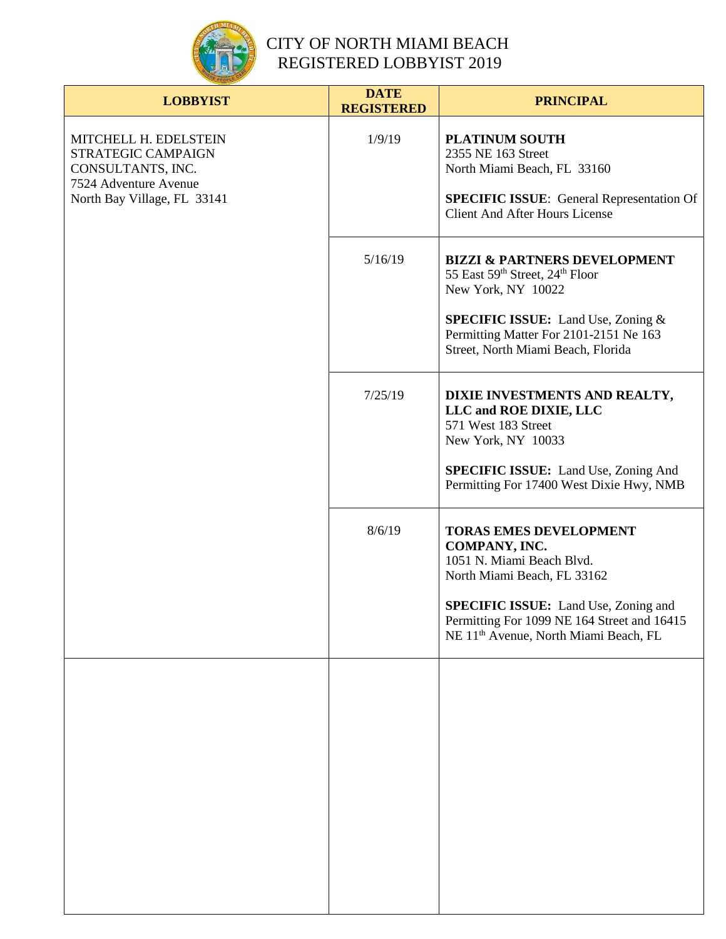

| <b>LOBBYIST</b>                                                                                                          | <b>DATE</b><br><b>REGISTERED</b> | <b>PRINCIPAL</b>                                                                                                                                                                                                                                              |
|--------------------------------------------------------------------------------------------------------------------------|----------------------------------|---------------------------------------------------------------------------------------------------------------------------------------------------------------------------------------------------------------------------------------------------------------|
| MITCHELL H. EDELSTEIN<br>STRATEGIC CAMPAIGN<br>CONSULTANTS, INC.<br>7524 Adventure Avenue<br>North Bay Village, FL 33141 | 1/9/19                           | <b>PLATINUM SOUTH</b><br>2355 NE 163 Street<br>North Miami Beach, FL 33160<br><b>SPECIFIC ISSUE:</b> General Representation Of<br><b>Client And After Hours License</b>                                                                                       |
|                                                                                                                          | 5/16/19                          | <b>BIZZI &amp; PARTNERS DEVELOPMENT</b><br>55 East 59th Street, 24th Floor<br>New York, NY 10022<br><b>SPECIFIC ISSUE:</b> Land Use, Zoning &<br>Permitting Matter For 2101-2151 Ne 163<br>Street, North Miami Beach, Florida                                 |
|                                                                                                                          | 7/25/19                          | DIXIE INVESTMENTS AND REALTY,<br>LLC and ROE DIXIE, LLC<br>571 West 183 Street<br>New York, NY 10033<br><b>SPECIFIC ISSUE:</b> Land Use, Zoning And<br>Permitting For 17400 West Dixie Hwy, NMB                                                               |
|                                                                                                                          | 8/6/19                           | <b>TORAS EMES DEVELOPMENT</b><br>COMPANY, INC.<br>1051 N. Miami Beach Blvd.<br>North Miami Beach, FL 33162<br><b>SPECIFIC ISSUE:</b> Land Use, Zoning and<br>Permitting For 1099 NE 164 Street and 16415<br>NE 11 <sup>th</sup> Avenue, North Miami Beach, FL |
|                                                                                                                          |                                  |                                                                                                                                                                                                                                                               |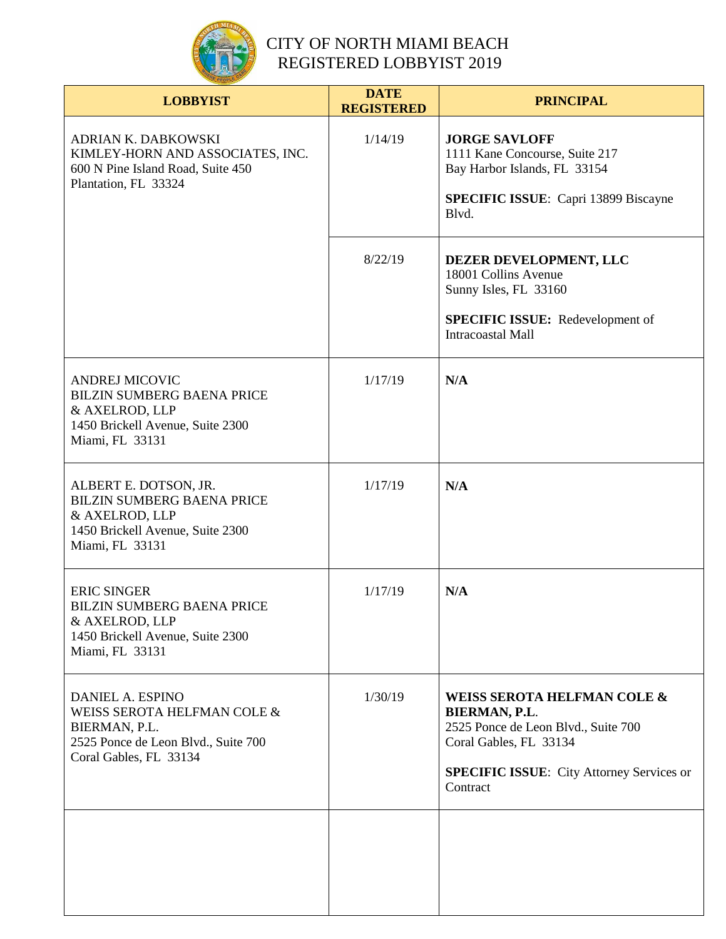

| <b>LOBBYIST</b>                                                                                                                     | <b>DATE</b><br><b>REGISTERED</b> | <b>PRINCIPAL</b>                                                                                                                                                              |
|-------------------------------------------------------------------------------------------------------------------------------------|----------------------------------|-------------------------------------------------------------------------------------------------------------------------------------------------------------------------------|
| ADRIAN K. DABKOWSKI<br>KIMLEY-HORN AND ASSOCIATES, INC.<br>600 N Pine Island Road, Suite 450<br>Plantation, FL 33324                | 1/14/19                          | <b>JORGE SAVLOFF</b><br>1111 Kane Concourse, Suite 217<br>Bay Harbor Islands, FL 33154<br><b>SPECIFIC ISSUE:</b> Capri 13899 Biscayne<br>Blvd.                                |
|                                                                                                                                     | 8/22/19                          | DEZER DEVELOPMENT, LLC<br>18001 Collins Avenue<br>Sunny Isles, FL 33160<br>SPECIFIC ISSUE: Redevelopment of<br><b>Intracoastal Mall</b>                                       |
| <b>ANDREJ MICOVIC</b><br><b>BILZIN SUMBERG BAENA PRICE</b><br>& AXELROD, LLP<br>1450 Brickell Avenue, Suite 2300<br>Miami, FL 33131 | 1/17/19                          | N/A                                                                                                                                                                           |
| ALBERT E. DOTSON, JR.<br><b>BILZIN SUMBERG BAENA PRICE</b><br>& AXELROD, LLP<br>1450 Brickell Avenue, Suite 2300<br>Miami, FL 33131 | 1/17/19                          | N/A                                                                                                                                                                           |
| <b>ERIC SINGER</b><br><b>BILZIN SUMBERG BAENA PRICE</b><br>& AXELROD, LLP<br>1450 Brickell Avenue, Suite 2300<br>Miami, FL 33131    | 1/17/19                          | N/A                                                                                                                                                                           |
| DANIEL A. ESPINO<br>WEISS SEROTA HELFMAN COLE &<br>BIERMAN, P.L.<br>2525 Ponce de Leon Blvd., Suite 700<br>Coral Gables, FL 33134   | 1/30/19                          | WEISS SEROTA HELFMAN COLE &<br>BIERMAN, P.L.<br>2525 Ponce de Leon Blvd., Suite 700<br>Coral Gables, FL 33134<br><b>SPECIFIC ISSUE:</b> City Attorney Services or<br>Contract |
|                                                                                                                                     |                                  |                                                                                                                                                                               |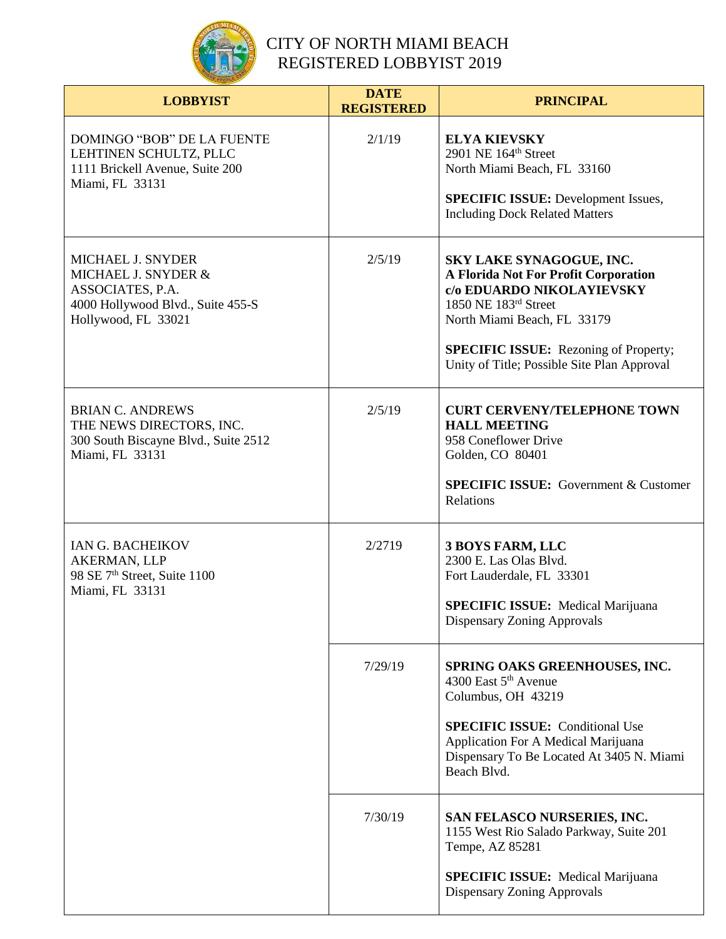

| <b>LOBBYIST</b>                                                                                                          | <b>DATE</b><br><b>REGISTERED</b> | <b>PRINCIPAL</b>                                                                                                                                                                                                                                    |
|--------------------------------------------------------------------------------------------------------------------------|----------------------------------|-----------------------------------------------------------------------------------------------------------------------------------------------------------------------------------------------------------------------------------------------------|
| DOMINGO "BOB" DE LA FUENTE<br>LEHTINEN SCHULTZ, PLLC<br>1111 Brickell Avenue, Suite 200<br>Miami, FL 33131               | 2/1/19                           | <b>ELYA KIEVSKY</b><br>2901 NE 164th Street<br>North Miami Beach, FL 33160<br><b>SPECIFIC ISSUE:</b> Development Issues,<br><b>Including Dock Related Matters</b>                                                                                   |
| MICHAEL J. SNYDER<br>MICHAEL J. SNYDER &<br>ASSOCIATES, P.A.<br>4000 Hollywood Blvd., Suite 455-S<br>Hollywood, FL 33021 | 2/5/19                           | SKY LAKE SYNAGOGUE, INC.<br>A Florida Not For Profit Corporation<br>c/o EDUARDO NIKOLAYIEVSKY<br>1850 NE 183rd Street<br>North Miami Beach, FL 33179<br><b>SPECIFIC ISSUE:</b> Rezoning of Property;<br>Unity of Title; Possible Site Plan Approval |
| <b>BRIAN C. ANDREWS</b><br>THE NEWS DIRECTORS, INC.<br>300 South Biscayne Blvd., Suite 2512<br>Miami, FL 33131           | 2/5/19                           | <b>CURT CERVENY/TELEPHONE TOWN</b><br><b>HALL MEETING</b><br>958 Coneflower Drive<br>Golden, CO 80401<br><b>SPECIFIC ISSUE:</b> Government & Customer<br>Relations                                                                                  |
| IAN G. BACHEIKOV<br><b>AKERMAN, LLP</b><br>98 SE 7 <sup>th</sup> Street, Suite 1100<br>Miami, FL 33131                   | 2/2719                           | <b>3 BOYS FARM, LLC</b><br>2300 E. Las Olas Blvd.<br>Fort Lauderdale, FL 33301<br><b>SPECIFIC ISSUE:</b> Medical Marijuana<br>Dispensary Zoning Approvals                                                                                           |
|                                                                                                                          | 7/29/19                          | SPRING OAKS GREENHOUSES, INC.<br>4300 East 5 <sup>th</sup> Avenue<br>Columbus, OH 43219<br><b>SPECIFIC ISSUE:</b> Conditional Use<br>Application For A Medical Marijuana<br>Dispensary To Be Located At 3405 N. Miami<br>Beach Blvd.                |
|                                                                                                                          | 7/30/19                          | SAN FELASCO NURSERIES, INC.<br>1155 West Rio Salado Parkway, Suite 201<br>Tempe, AZ 85281<br><b>SPECIFIC ISSUE:</b> Medical Marijuana<br>Dispensary Zoning Approvals                                                                                |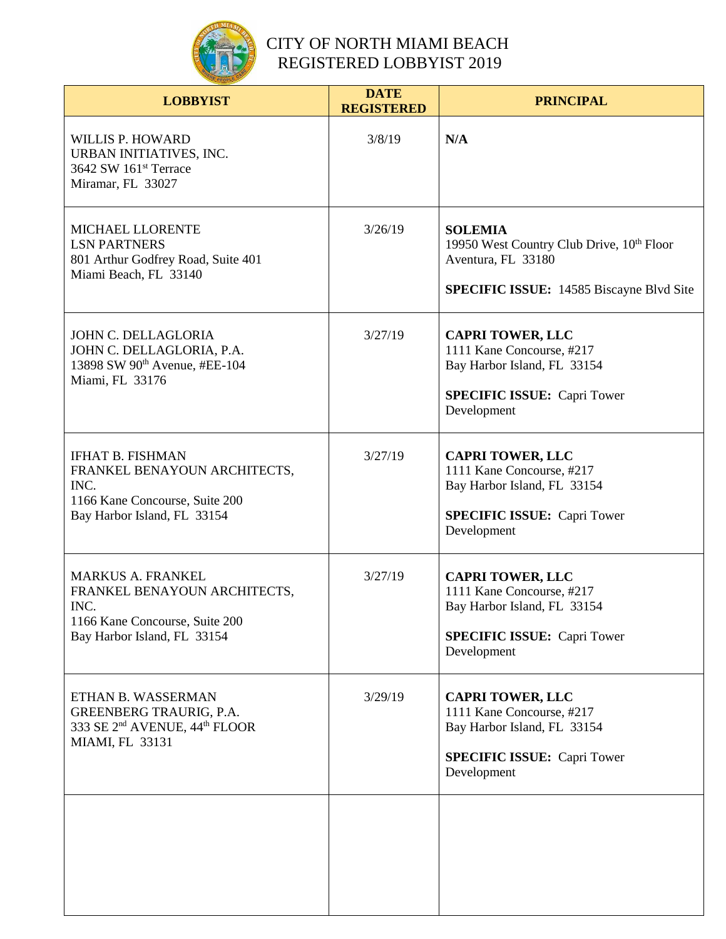

| <b>LOBBYIST</b>                                                                                                                   | <b>DATE</b><br><b>REGISTERED</b> | <b>PRINCIPAL</b>                                                                                                                         |
|-----------------------------------------------------------------------------------------------------------------------------------|----------------------------------|------------------------------------------------------------------------------------------------------------------------------------------|
| <b>WILLIS P. HOWARD</b><br>URBAN INITIATIVES, INC.<br>3642 SW 161 <sup>st</sup> Terrace<br>Miramar, FL 33027                      | 3/8/19                           | N/A                                                                                                                                      |
| MICHAEL LLORENTE<br><b>LSN PARTNERS</b><br>801 Arthur Godfrey Road, Suite 401<br>Miami Beach, FL 33140                            | 3/26/19                          | <b>SOLEMIA</b><br>19950 West Country Club Drive, 10th Floor<br>Aventura, FL 33180<br><b>SPECIFIC ISSUE:</b> 14585 Biscayne Blvd Site     |
| JOHN C. DELLAGLORIA<br>JOHN C. DELLAGLORIA, P.A.<br>13898 SW 90 <sup>th</sup> Avenue, #EE-104<br>Miami, FL 33176                  | 3/27/19                          | <b>CAPRI TOWER, LLC</b><br>1111 Kane Concourse, #217<br>Bay Harbor Island, FL 33154<br><b>SPECIFIC ISSUE: Capri Tower</b><br>Development |
| <b>IFHAT B. FISHMAN</b><br>FRANKEL BENAYOUN ARCHITECTS,<br>INC.<br>1166 Kane Concourse, Suite 200<br>Bay Harbor Island, FL 33154  | 3/27/19                          | <b>CAPRI TOWER, LLC</b><br>1111 Kane Concourse, #217<br>Bay Harbor Island, FL 33154<br><b>SPECIFIC ISSUE: Capri Tower</b><br>Development |
| <b>MARKUS A. FRANKEL</b><br>FRANKEL BENAYOUN ARCHITECTS,<br>INC.<br>1166 Kane Concourse, Suite 200<br>Bay Harbor Island, FL 33154 | 3/27/19                          | <b>CAPRI TOWER, LLC</b><br>1111 Kane Concourse, #217<br>Bay Harbor Island, FL 33154<br><b>SPECIFIC ISSUE: Capri Tower</b><br>Development |
| ETHAN B. WASSERMAN<br>GREENBERG TRAURIG, P.A.<br>333 SE 2 <sup>nd</sup> AVENUE, 44 <sup>th</sup> FLOOR<br>MIAMI, FL 33131         | 3/29/19                          | <b>CAPRI TOWER, LLC</b><br>1111 Kane Concourse, #217<br>Bay Harbor Island, FL 33154<br><b>SPECIFIC ISSUE:</b> Capri Tower<br>Development |
|                                                                                                                                   |                                  |                                                                                                                                          |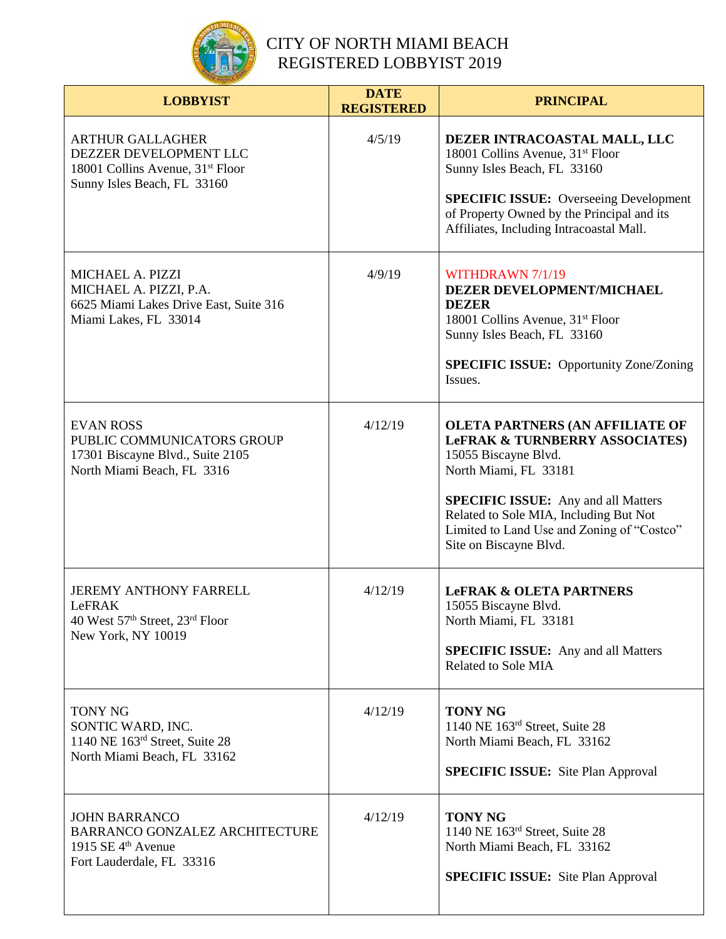

| <b>LOBBYIST</b>                                                                                                                  | <b>DATE</b><br><b>REGISTERED</b> | <b>PRINCIPAL</b>                                                                                                                                                                                                                                                                                     |
|----------------------------------------------------------------------------------------------------------------------------------|----------------------------------|------------------------------------------------------------------------------------------------------------------------------------------------------------------------------------------------------------------------------------------------------------------------------------------------------|
| <b>ARTHUR GALLAGHER</b><br>DEZZER DEVELOPMENT LLC<br>18001 Collins Avenue, 31 <sup>st</sup> Floor<br>Sunny Isles Beach, FL 33160 | 4/5/19                           | DEZER INTRACOASTAL MALL, LLC<br>18001 Collins Avenue, 31 <sup>st</sup> Floor<br>Sunny Isles Beach, FL 33160<br><b>SPECIFIC ISSUE:</b> Overseeing Development<br>of Property Owned by the Principal and its<br>Affiliates, Including Intracoastal Mall.                                               |
| MICHAEL A. PIZZI<br>MICHAEL A. PIZZI, P.A.<br>6625 Miami Lakes Drive East, Suite 316<br>Miami Lakes, FL 33014                    | 4/9/19                           | WITHDRAWN 7/1/19<br>DEZER DEVELOPMENT/MICHAEL<br><b>DEZER</b><br>18001 Collins Avenue, 31 <sup>st</sup> Floor<br>Sunny Isles Beach, FL 33160<br><b>SPECIFIC ISSUE:</b> Opportunity Zone/Zoning<br>Issues.                                                                                            |
| <b>EVAN ROSS</b><br>PUBLIC COMMUNICATORS GROUP<br>17301 Biscayne Blvd., Suite 2105<br>North Miami Beach, FL 3316                 | 4/12/19                          | <b>OLETA PARTNERS (AN AFFILIATE OF</b><br><b>LeFRAK &amp; TURNBERRY ASSOCIATES)</b><br>15055 Biscayne Blvd.<br>North Miami, FL 33181<br><b>SPECIFIC ISSUE:</b> Any and all Matters<br>Related to Sole MIA, Including But Not<br>Limited to Land Use and Zoning of "Costco"<br>Site on Biscayne Blvd. |
| <b>JEREMY ANTHONY FARRELL</b><br>LeFRAK<br>40 West 57 <sup>th</sup> Street, 23 <sup>rd</sup> Floor<br>New York, NY 10019         | 4/12/19                          | <b>LeFRAK &amp; OLETA PARTNERS</b><br>15055 Biscayne Blvd.<br>North Miami, FL 33181<br><b>SPECIFIC ISSUE:</b> Any and all Matters<br>Related to Sole MIA                                                                                                                                             |
| <b>TONY NG</b><br>SONTIC WARD, INC.<br>1140 NE 163rd Street, Suite 28<br>North Miami Beach, FL 33162                             | 4/12/19                          | <b>TONY NG</b><br>1140 NE 163rd Street, Suite 28<br>North Miami Beach, FL 33162<br><b>SPECIFIC ISSUE:</b> Site Plan Approval                                                                                                                                                                         |
| <b>JOHN BARRANCO</b><br><b>BARRANCO GONZALEZ ARCHITECTURE</b><br>1915 SE $4th$ Avenue<br>Fort Lauderdale, FL 33316               | 4/12/19                          | <b>TONY NG</b><br>1140 NE 163 <sup>rd</sup> Street, Suite 28<br>North Miami Beach, FL 33162<br><b>SPECIFIC ISSUE:</b> Site Plan Approval                                                                                                                                                             |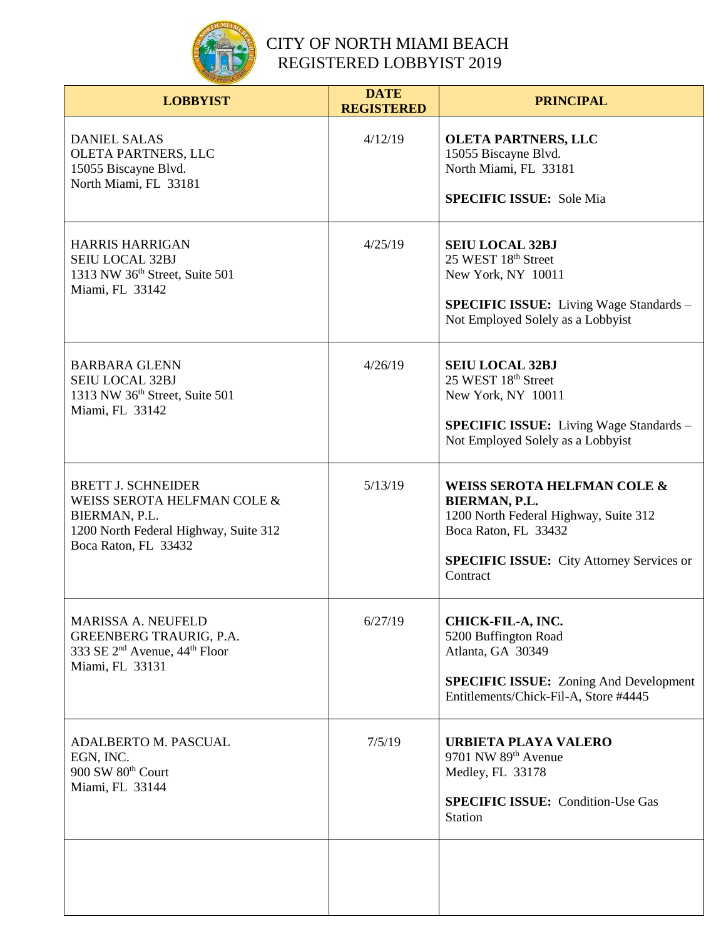

| <b>LOBBYIST</b>                                                                                                                            | <b>DATE</b><br><b>REGISTERED</b> | <b>PRINCIPAL</b>                                                                                                                                                                         |
|--------------------------------------------------------------------------------------------------------------------------------------------|----------------------------------|------------------------------------------------------------------------------------------------------------------------------------------------------------------------------------------|
| <b>DANIEL SALAS</b><br>OLETA PARTNERS, LLC<br>15055 Biscayne Blvd.<br>North Miami, FL 33181                                                | 4/12/19                          | <b>OLETA PARTNERS, LLC</b><br>15055 Biscayne Blvd.<br>North Miami, FL 33181<br><b>SPECIFIC ISSUE:</b> Sole Mia                                                                           |
| <b>HARRIS HARRIGAN</b><br><b>SEIU LOCAL 32BJ</b><br>1313 NW 36 <sup>th</sup> Street, Suite 501<br>Miami, FL 33142                          | 4/25/19                          | <b>SEIU LOCAL 32BJ</b><br>25 WEST 18th Street<br>New York, NY 10011<br><b>SPECIFIC ISSUE:</b> Living Wage Standards -<br>Not Employed Solely as a Lobbyist                               |
| <b>BARBARA GLENN</b><br><b>SEIU LOCAL 32BJ</b><br>1313 NW 36 <sup>th</sup> Street, Suite 501<br>Miami, FL 33142                            | 4/26/19                          | <b>SEIU LOCAL 32BJ</b><br>25 WEST 18th Street<br>New York, NY 10011<br><b>SPECIFIC ISSUE:</b> Living Wage Standards –<br>Not Employed Solely as a Lobbyist                               |
| <b>BRETT J. SCHNEIDER</b><br>WEISS SEROTA HELFMAN COLE &<br>BIERMAN, P.L.<br>1200 North Federal Highway, Suite 312<br>Boca Raton, FL 33432 | 5/13/19                          | <b>WEISS SEROTA HELFMAN COLE &amp;</b><br>BIERMAN, P.L.<br>1200 North Federal Highway, Suite 312<br>Boca Raton, FL 33432<br><b>SPECIFIC ISSUE:</b> City Attorney Services or<br>Contract |
| MARISSA A. NEUFELD<br><b>GREENBERG TRAURIG, P.A.</b><br>333 SE 2 <sup>nd</sup> Avenue, 44 <sup>th</sup> Floor<br>Miami, FL 33131           | 6/27/19                          | CHICK-FIL-A, INC.<br>5200 Buffington Road<br>Atlanta, GA 30349<br><b>SPECIFIC ISSUE:</b> Zoning And Development<br>Entitlements/Chick-Fil-A, Store #4445                                 |
| <b>ADALBERTO M. PASCUAL</b><br>EGN, INC.<br>900 SW 80 <sup>th</sup> Court<br>Miami, FL 33144                                               | 7/5/19                           | <b>URBIETA PLAYA VALERO</b><br>9701 NW 89th Avenue<br>Medley, FL 33178<br><b>SPECIFIC ISSUE: Condition-Use Gas</b><br><b>Station</b>                                                     |
|                                                                                                                                            |                                  |                                                                                                                                                                                          |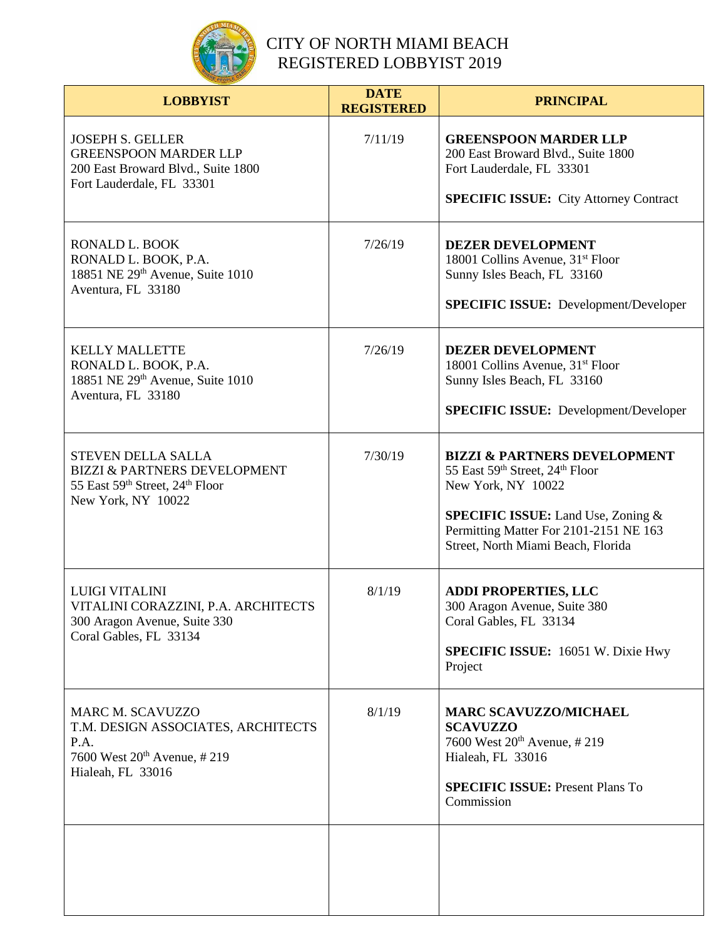

| <b>LOBBYIST</b>                                                                                                                       | <b>DATE</b><br><b>REGISTERED</b> | <b>PRINCIPAL</b>                                                                                                                                                                                                              |
|---------------------------------------------------------------------------------------------------------------------------------------|----------------------------------|-------------------------------------------------------------------------------------------------------------------------------------------------------------------------------------------------------------------------------|
| <b>JOSEPH S. GELLER</b><br><b>GREENSPOON MARDER LLP</b><br>200 East Broward Blvd., Suite 1800<br>Fort Lauderdale, FL 33301            | 7/11/19                          | <b>GREENSPOON MARDER LLP</b><br>200 East Broward Blvd., Suite 1800<br>Fort Lauderdale, FL 33301<br><b>SPECIFIC ISSUE:</b> City Attorney Contract                                                                              |
| RONALD L. BOOK<br>RONALD L. BOOK, P.A.<br>18851 NE 29th Avenue, Suite 1010<br>Aventura, FL 33180                                      | 7/26/19                          | <b>DEZER DEVELOPMENT</b><br>18001 Collins Avenue, 31 <sup>st</sup> Floor<br>Sunny Isles Beach, FL 33160<br><b>SPECIFIC ISSUE:</b> Development/Developer                                                                       |
| <b>KELLY MALLETTE</b><br>RONALD L. BOOK, P.A.<br>18851 NE 29th Avenue, Suite 1010<br>Aventura, FL 33180                               | 7/26/19                          | <b>DEZER DEVELOPMENT</b><br>18001 Collins Avenue, 31 <sup>st</sup> Floor<br>Sunny Isles Beach, FL 33160<br><b>SPECIFIC ISSUE:</b> Development/Developer                                                                       |
| <b>STEVEN DELLA SALLA</b><br><b>BIZZI &amp; PARTNERS DEVELOPMENT</b><br>55 East 59th Street, 24th Floor<br>New York, NY 10022         | 7/30/19                          | <b>BIZZI &amp; PARTNERS DEVELOPMENT</b><br>55 East 59th Street, 24th Floor<br>New York, NY 10022<br><b>SPECIFIC ISSUE:</b> Land Use, Zoning &<br>Permitting Matter For 2101-2151 NE 163<br>Street, North Miami Beach, Florida |
| <b>LUIGI VITALINI</b><br>VITALINI CORAZZINI, P.A. ARCHITECTS<br>300 Aragon Avenue, Suite 330<br>Coral Gables, FL 33134                | 8/1/19                           | <b>ADDI PROPERTIES, LLC</b><br>300 Aragon Avenue, Suite 380<br>Coral Gables, FL 33134<br>SPECIFIC ISSUE: 16051 W. Dixie Hwy<br>Project                                                                                        |
| <b>MARC M. SCAVUZZO</b><br>T.M. DESIGN ASSOCIATES, ARCHITECTS<br>P.A.<br>7600 West 20 <sup>th</sup> Avenue, #219<br>Hialeah, FL 33016 | 8/1/19                           | <b>MARC SCAVUZZO/MICHAEL</b><br><b>SCAVUZZO</b><br>7600 West 20 <sup>th</sup> Avenue, #219<br>Hialeah, FL 33016<br><b>SPECIFIC ISSUE: Present Plans To</b><br>Commission                                                      |
|                                                                                                                                       |                                  |                                                                                                                                                                                                                               |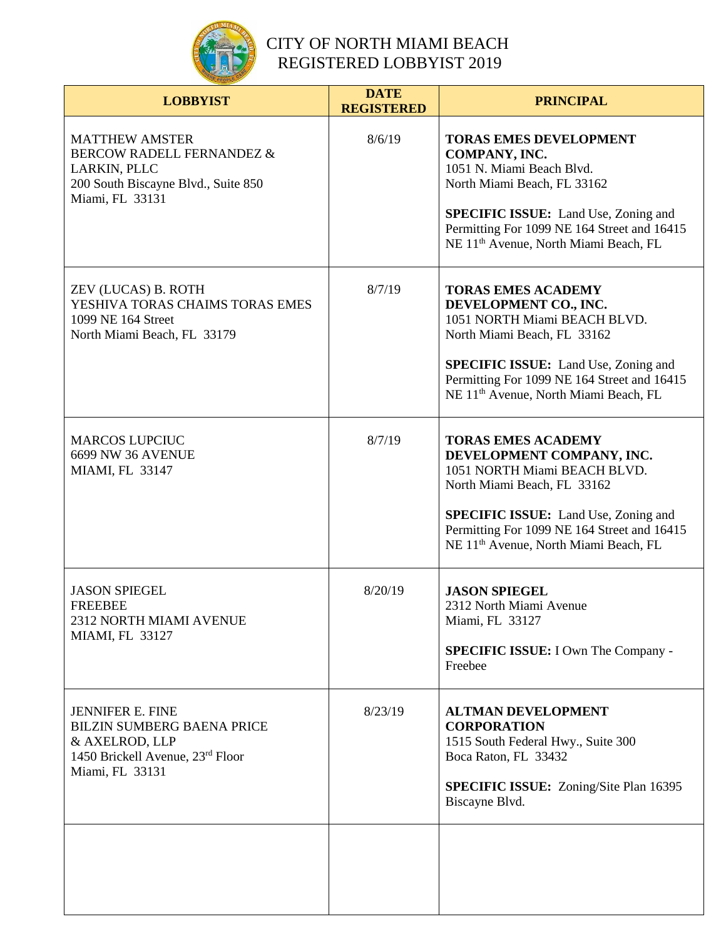

| <b>LOBBYIST</b>                                                                                                                         | <b>DATE</b><br><b>REGISTERED</b> | <b>PRINCIPAL</b>                                                                                                                                                                                                                                                         |
|-----------------------------------------------------------------------------------------------------------------------------------------|----------------------------------|--------------------------------------------------------------------------------------------------------------------------------------------------------------------------------------------------------------------------------------------------------------------------|
| <b>MATTHEW AMSTER</b><br><b>BERCOW RADELL FERNANDEZ &amp;</b><br>LARKIN, PLLC<br>200 South Biscayne Blvd., Suite 850<br>Miami, FL 33131 | 8/6/19                           | <b>TORAS EMES DEVELOPMENT</b><br>COMPANY, INC.<br>1051 N. Miami Beach Blvd.<br>North Miami Beach, FL 33162<br><b>SPECIFIC ISSUE:</b> Land Use, Zoning and<br>Permitting For 1099 NE 164 Street and 16415<br>NE 11 <sup>th</sup> Avenue, North Miami Beach, FL            |
| ZEV (LUCAS) B. ROTH<br>YESHIVA TORAS CHAIMS TORAS EMES<br>1099 NE 164 Street<br>North Miami Beach, FL 33179                             | 8/7/19                           | <b>TORAS EMES ACADEMY</b><br>DEVELOPMENT CO., INC.<br>1051 NORTH Miami BEACH BLVD.<br>North Miami Beach, FL 33162<br><b>SPECIFIC ISSUE:</b> Land Use, Zoning and<br>Permitting For 1099 NE 164 Street and 16415<br>NE 11 <sup>th</sup> Avenue, North Miami Beach, FL     |
| <b>MARCOS LUPCIUC</b><br>6699 NW 36 AVENUE<br><b>MIAMI, FL 33147</b>                                                                    | 8/7/19                           | <b>TORAS EMES ACADEMY</b><br>DEVELOPMENT COMPANY, INC.<br>1051 NORTH Miami BEACH BLVD.<br>North Miami Beach, FL 33162<br><b>SPECIFIC ISSUE:</b> Land Use, Zoning and<br>Permitting For 1099 NE 164 Street and 16415<br>NE 11 <sup>th</sup> Avenue, North Miami Beach, FL |
| <b>JASON SPIEGEL</b><br><b>FREEBEE</b><br>2312 NORTH MIAMI AVENUE<br>MIAMI, FL 33127                                                    | 8/20/19                          | <b>JASON SPIEGEL</b><br>2312 North Miami Avenue<br>Miami, FL 33127<br><b>SPECIFIC ISSUE:</b> I Own The Company -<br>Freebee                                                                                                                                              |
| <b>JENNIFER E. FINE</b><br><b>BILZIN SUMBERG BAENA PRICE</b><br>& AXELROD, LLP<br>1450 Brickell Avenue, 23rd Floor<br>Miami, FL 33131   | 8/23/19                          | <b>ALTMAN DEVELOPMENT</b><br><b>CORPORATION</b><br>1515 South Federal Hwy., Suite 300<br>Boca Raton, FL 33432<br><b>SPECIFIC ISSUE:</b> Zoning/Site Plan 16395<br>Biscayne Blvd.                                                                                         |
|                                                                                                                                         |                                  |                                                                                                                                                                                                                                                                          |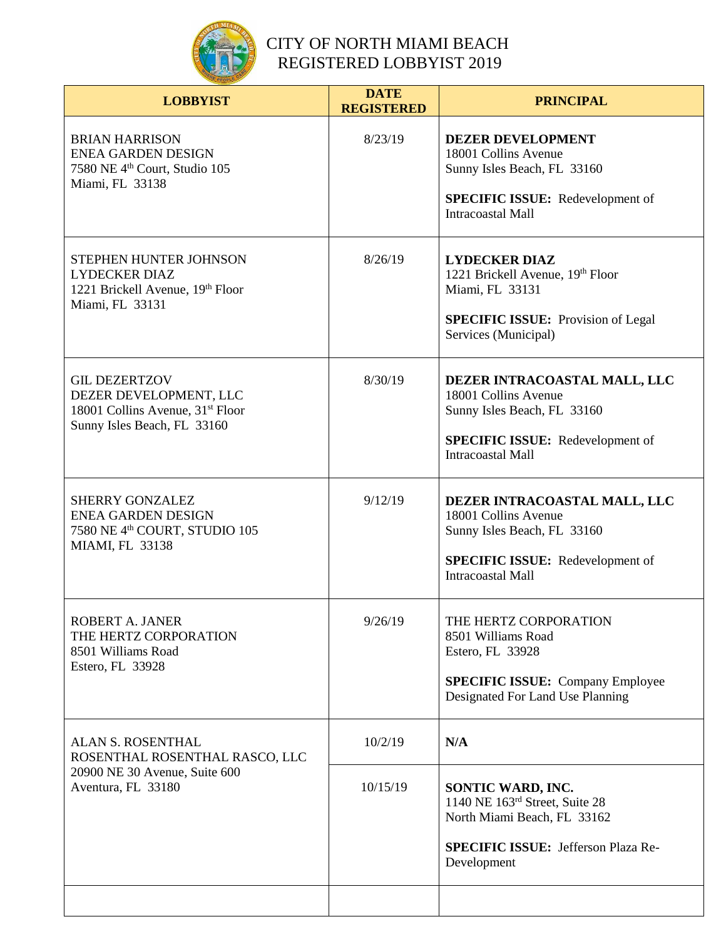

| <b>LOBBYIST</b>                                                                                                               | <b>DATE</b><br><b>REGISTERED</b> | <b>PRINCIPAL</b>                                                                                                                                           |
|-------------------------------------------------------------------------------------------------------------------------------|----------------------------------|------------------------------------------------------------------------------------------------------------------------------------------------------------|
| <b>BRIAN HARRISON</b><br><b>ENEA GARDEN DESIGN</b><br>7580 NE 4 <sup>th</sup> Court, Studio 105<br>Miami, FL 33138            | 8/23/19                          | <b>DEZER DEVELOPMENT</b><br>18001 Collins Avenue<br>Sunny Isles Beach, FL 33160<br><b>SPECIFIC ISSUE:</b> Redevelopment of<br><b>Intracoastal Mall</b>     |
| STEPHEN HUNTER JOHNSON<br><b>LYDECKER DIAZ</b><br>1221 Brickell Avenue, 19th Floor<br>Miami, FL 33131                         | 8/26/19                          | <b>LYDECKER DIAZ</b><br>1221 Brickell Avenue, 19th Floor<br>Miami, FL 33131<br><b>SPECIFIC ISSUE:</b> Provision of Legal<br>Services (Municipal)           |
| <b>GIL DEZERTZOV</b><br>DEZER DEVELOPMENT, LLC<br>18001 Collins Avenue, 31 <sup>st</sup> Floor<br>Sunny Isles Beach, FL 33160 | 8/30/19                          | DEZER INTRACOASTAL MALL, LLC<br>18001 Collins Avenue<br>Sunny Isles Beach, FL 33160<br><b>SPECIFIC ISSUE:</b> Redevelopment of<br><b>Intracoastal Mall</b> |
| <b>SHERRY GONZALEZ</b><br><b>ENEA GARDEN DESIGN</b><br>7580 NE 4 <sup>th</sup> COURT, STUDIO 105<br>MIAMI, FL 33138           | 9/12/19                          | DEZER INTRACOASTAL MALL, LLC<br>18001 Collins Avenue<br>Sunny Isles Beach, FL 33160<br><b>SPECIFIC ISSUE:</b> Redevelopment of<br><b>Intracoastal Mall</b> |
| ROBERT A. JANER<br>THE HERTZ CORPORATION<br>8501 Williams Road<br>Estero, FL 33928                                            | 9/26/19                          | THE HERTZ CORPORATION<br>8501 Williams Road<br>Estero, FL 33928<br><b>SPECIFIC ISSUE:</b> Company Employee<br>Designated For Land Use Planning             |
| ALAN S. ROSENTHAL<br>ROSENTHAL ROSENTHAL RASCO, LLC<br>20900 NE 30 Avenue, Suite 600<br>Aventura, FL 33180                    | 10/2/19                          | N/A                                                                                                                                                        |
|                                                                                                                               | 10/15/19                         | SONTIC WARD, INC.<br>1140 NE 163rd Street, Suite 28<br>North Miami Beach, FL 33162<br><b>SPECIFIC ISSUE: Jefferson Plaza Re-</b><br>Development            |
|                                                                                                                               |                                  |                                                                                                                                                            |